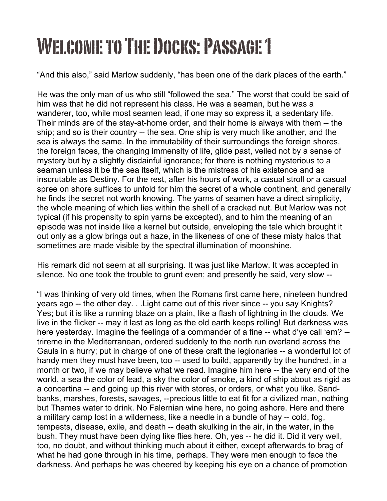## WELCOME TO THE DOCKS: PASSAGE 1

"And this also," said Marlow suddenly, "has been one of the dark places of the earth."

He was the only man of us who still "followed the sea." The worst that could be said of him was that he did not represent his class. He was a seaman, but he was a wanderer, too, while most seamen lead, if one may so express it, a sedentary life. Their minds are of the stay-at-home order, and their home is always with them -- the ship; and so is their country -- the sea. One ship is very much like another, and the sea is always the same. In the immutability of their surroundings the foreign shores, the foreign faces, the changing immensity of life, glide past, veiled not by a sense of mystery but by a slightly disdainful ignorance; for there is nothing mysterious to a seaman unless it be the sea itself, which is the mistress of his existence and as inscrutable as Destiny. For the rest, after his hours of work, a casual stroll or a casual spree on shore suffices to unfold for him the secret of a whole continent, and generally he finds the secret not worth knowing. The yarns of seamen have a direct simplicity, the whole meaning of which lies within the shell of a cracked nut. But Marlow was not typical (if his propensity to spin yarns be excepted), and to him the meaning of an episode was not inside like a kernel but outside, enveloping the tale which brought it out only as a glow brings out a haze, in the likeness of one of these misty halos that sometimes are made visible by the spectral illumination of moonshine.

His remark did not seem at all surprising. It was just like Marlow. It was accepted in silence. No one took the trouble to grunt even; and presently he said, very slow --

"I was thinking of very old times, when the Romans first came here, nineteen hundred years ago -- the other day. . .Light came out of this river since -- you say Knights? Yes; but it is like a running blaze on a plain, like a flash of lightning in the clouds. We live in the flicker -- may it last as long as the old earth keeps rolling! But darkness was here yesterday. Imagine the feelings of a commander of a fine -- what d'ye call 'em? - trireme in the Mediterranean, ordered suddenly to the north run overland across the Gauls in a hurry; put in charge of one of these craft the legionaries -- a wonderful lot of handy men they must have been, too -- used to build, apparently by the hundred, in a month or two, if we may believe what we read. Imagine him here -- the very end of the world, a sea the color of lead, a sky the color of smoke, a kind of ship about as rigid as a concertina -- and going up this river with stores, or orders, or what you like. Sandbanks, marshes, forests, savages, --precious little to eat fit for a civilized man, nothing but Thames water to drink. No Falernian wine here, no going ashore. Here and there a military camp lost in a wilderness, like a needle in a bundle of hay -- cold, fog, tempests, disease, exile, and death -- death skulking in the air, in the water, in the bush. They must have been dying like flies here. Oh, yes -- he did it. Did it very well, too, no doubt, and without thinking much about it either, except afterwards to brag of what he had gone through in his time, perhaps. They were men enough to face the darkness. And perhaps he was cheered by keeping his eye on a chance of promotion